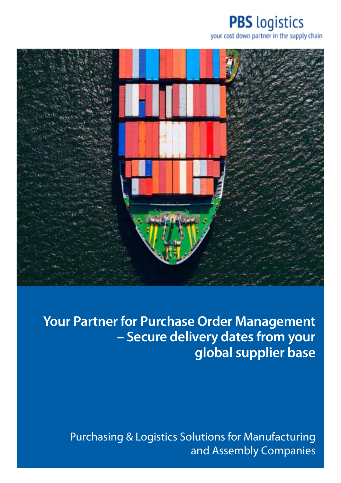# **PBS** logistics

your cost down partner in the supply chain



**Your Partner for Purchase Order Management – Secure delivery dates from your global supplier base** 

Purchasing & Logistics Solutions for Manufacturing and Assembly Companies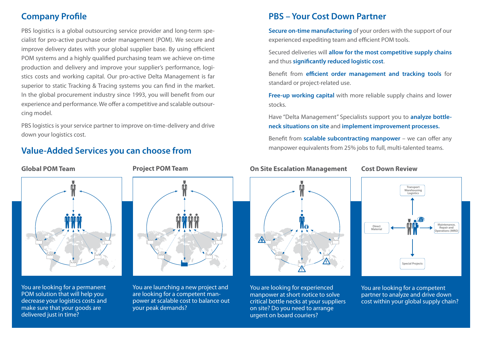# **Company Profile**

PBS logistics is a global outsourcing service provider and long-term specialist for pro-active purchase order management (POM). We secure and improve delivery dates with your global supplier base. By using efficient POM systems and a highly qualified purchasing team we achieve on-time production and delivery and improve your supplier's performance, logistics costs and working capital. Our pro-active Delta Management is far superior to static Tracking & Tracing systems you can find in the market. In the global procurement industry since 1993, you will benefit from our experience and performance. We offer a competitive and scalable outsourcing model.

PBS logistics is your service partner to improve on-time-delivery and drive down your logistics cost.

# **Value-Added Services you can choose from**

## **Global POM Team**



You are looking for a permanent POM solution that will help you decrease your logistics costs and make sure that your goods are delivered just in time?

#### **Project POM Team**



You are launching a new project and are looking for a competent manpower at scalable cost to balance out your peak demands?

# **PBS – Your Cost Down Partner**

**Secure on-time manufacturing** of your orders with the support of our experienced expediting team and efficient POM tools.

Secured deliveries will **allow for the most competitive supply chains** and thus **significantly reduced logistic cost**.

Benefit from **efficient order management and tracking tools** for standard or project-related use.

**Free-up working capital** with more reliable supply chains and lower stocks.

Have "Delta Management" Specialists support you to **analyze bottleneck situations on site** and **implement improvement processes.**

Benefit from **scalable subcontracting manpower** – we can offer any manpower equivalents from 25% jobs to full, multi-talented teams.

## **On Site Escalation Management**



You are looking for experienced manpower at short notice to solve critical bottle necks at your suppliers on site? Do you need to arrange urgent on board couriers?

### **Cost Down Review**



You are looking for a competent partner to analyze and drive down cost within your global supply chain?